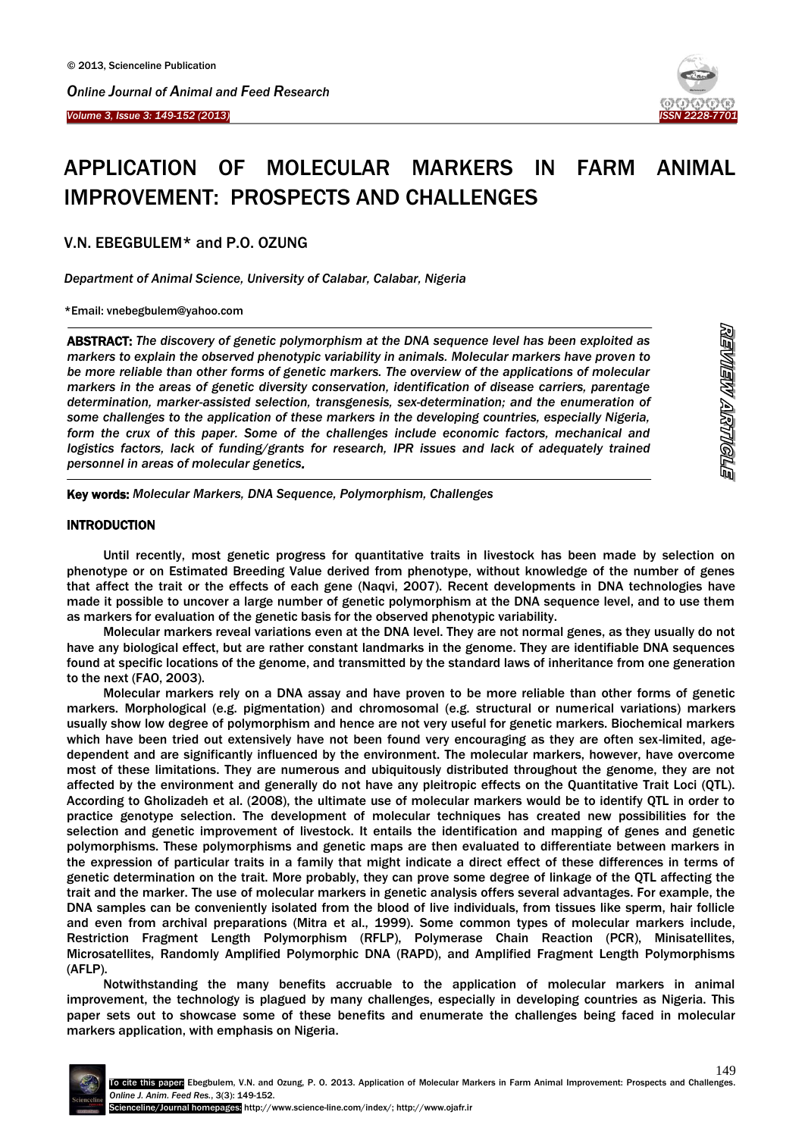

# APPLICATION OF MOLECULAR MARKERS IN FARM ANIMAL IMPROVEMENT: PROSPECTS AND CHALLENGES

V.N. EBEGBULEM\* and P.O. OZUNG

*Department of Animal Science, University of Calabar, Calabar, Nigeria*

\*Email: vnebegbulem@yahoo.com

 $\overline{\phantom{a}}$ ABSTRACT: *The discovery of genetic polymorphism at the DNA sequence level has been exploited as markers to explain the observed phenotypic variability in animals. Molecular markers have proven to be more reliable than other forms of genetic markers. The overview of the applications of molecular markers in the areas of genetic diversity conservation, identification of disease carriers, parentage determination, marker-assisted selection, transgenesis, sex-determination; and the enumeration of some challenges to the application of these markers in the developing countries, especially Nigeria, form the crux of this paper. Some of the challenges include economic factors, mechanical and logistics factors, lack of funding/grants for research, IPR issues and lack of adequately trained personnel in areas of molecular genetics.*

Key words: *Molecular Markers, DNA Sequence, Polymorphism, Challenges*

# INTRODUCTION

 $\overline{a}$ 

Ĩ

Until recently, most genetic progress for quantitative traits in livestock has been made by selection on phenotype or on Estimated Breeding Value derived from phenotype, without knowledge of the number of genes that affect the trait or the effects of each gene (Naqvi, 2007). Recent developments in DNA technologies have made it possible to uncover a large number of genetic polymorphism at the DNA sequence level, and to use them as markers for evaluation of the genetic basis for the observed phenotypic variability.

Molecular markers reveal variations even at the DNA level. They are not normal genes, as they usually do not have any biological effect, but are rather constant landmarks in the genome. They are identifiable DNA sequences found at specific locations of the genome, and transmitted by the standard laws of inheritance from one generation to the next (FAO, 2003).

Molecular markers rely on a DNA assay and have proven to be more reliable than other forms of genetic markers. Morphological (e.g. pigmentation) and chromosomal (e.g. structural or numerical variations) markers usually show low degree of polymorphism and hence are not very useful for genetic markers. Biochemical markers which have been tried out extensively have not been found very encouraging as they are often sex-limited, agedependent and are significantly influenced by the environment. The molecular markers, however, have overcome most of these limitations. They are numerous and ubiquitously distributed throughout the genome, they are not affected by the environment and generally do not have any pleitropic effects on the Quantitative Trait Loci (QTL). According to Gholizadeh et al. (2008), the ultimate use of molecular markers would be to identify QTL in order to practice genotype selection. The development of molecular techniques has created new possibilities for the selection and genetic improvement of livestock. It entails the identification and mapping of genes and genetic polymorphisms. These polymorphisms and genetic maps are then evaluated to differentiate between markers in the expression of particular traits in a family that might indicate a direct effect of these differences in terms of genetic determination on the trait. More probably, they can prove some degree of linkage of the QTL affecting the trait and the marker. The use of molecular markers in genetic analysis offers several advantages. For example, the DNA samples can be conveniently isolated from the blood of live individuals, from tissues like sperm, hair follicle and even from archival preparations (Mitra et al., 1999). Some common types of molecular markers include, Restriction Fragment Length Polymorphism (RFLP), Polymerase Chain Reaction (PCR), Minisatellites, Microsatellites, Randomly Amplified Polymorphic DNA (RAPD), and Amplified Fragment Length Polymorphisms (AFLP).

Notwithstanding the many benefits accruable to the application of molecular markers in animal improvement, the technology is plagued by many challenges, especially in developing countries as Nigeria. This paper sets out to showcase some of these benefits and enumerate the challenges being faced in molecular markers application, with emphasis on Nigeria.

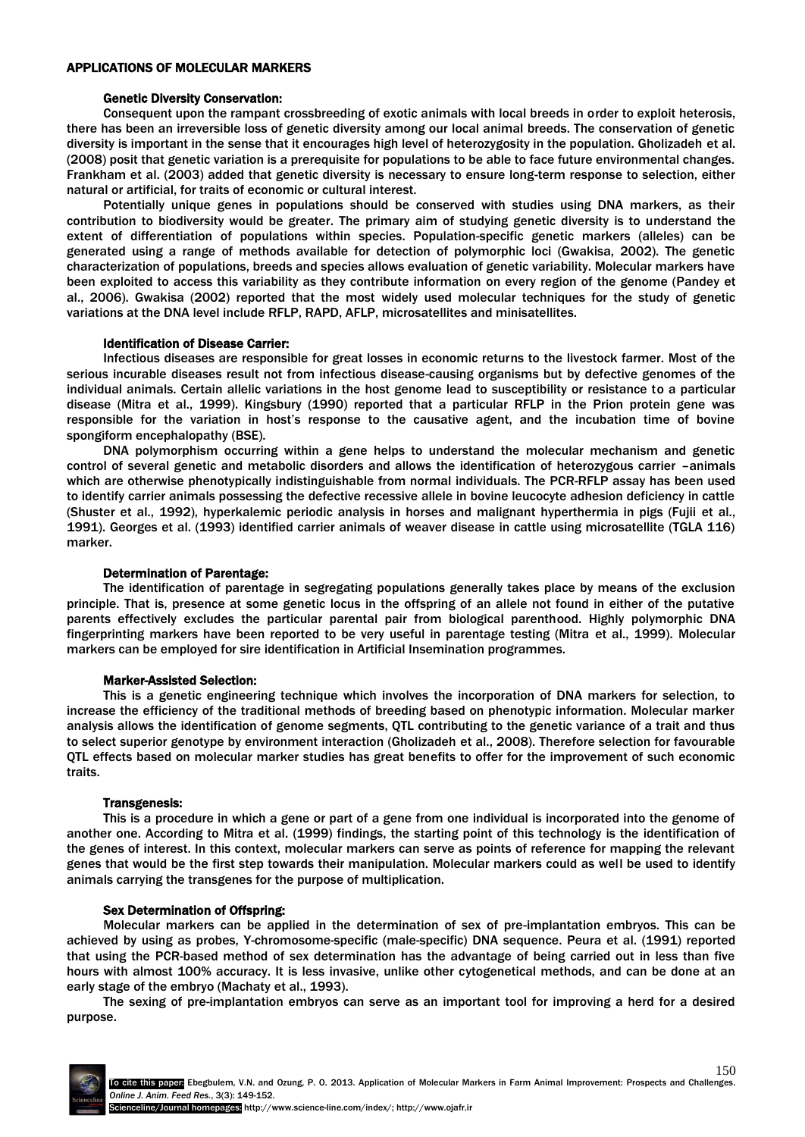# APPLICATIONS OF MOLECULAR MARKERS

# Genetic Diversity Conservation:

Consequent upon the rampant crossbreeding of exotic animals with local breeds in order to exploit heterosis, there has been an irreversible loss of genetic diversity among our local animal breeds. The conservation of genetic diversity is important in the sense that it encourages high level of heterozygosity in the population. Gholizadeh et al. (2008) posit that genetic variation is a prerequisite for populations to be able to face future environmental changes. Frankham et al. (2003) added that genetic diversity is necessary to ensure long-term response to selection, either natural or artificial, for traits of economic or cultural interest.

Potentially unique genes in populations should be conserved with studies using DNA markers, as their contribution to biodiversity would be greater. The primary aim of studying genetic diversity is to understand the extent of differentiation of populations within species. Population-specific genetic markers (alleles) can be generated using a range of methods available for detection of polymorphic loci (Gwakisa, 2002). The genetic characterization of populations, breeds and species allows evaluation of genetic variability. Molecular markers have been exploited to access this variability as they contribute information on every region of the genome (Pandey et al., 2006). Gwakisa (2002) reported that the most widely used molecular techniques for the study of genetic variations at the DNA level include RFLP, RAPD, AFLP, microsatellites and minisatellites.

# Identification of Disease Carrier:

Infectious diseases are responsible for great losses in economic returns to the livestock farmer. Most of the serious incurable diseases result not from infectious disease-causing organisms but by defective genomes of the individual animals. Certain allelic variations in the host genome lead to susceptibility or resistance to a particular disease (Mitra et al., 1999). Kingsbury (1990) reported that a particular RFLP in the Prion protein gene was responsible for the variation in host"s response to the causative agent, and the incubation time of bovine spongiform encephalopathy (BSE).

DNA polymorphism occurring within a gene helps to understand the molecular mechanism and genetic control of several genetic and metabolic disorders and allows the identification of heterozygous carrier –animals which are otherwise phenotypically indistinguishable from normal individuals. The PCR-RFLP assay has been used to identify carrier animals possessing the defective recessive allele in bovine leucocyte adhesion deficiency in cattle (Shuster et al., 1992), hyperkalemic periodic analysis in horses and malignant hyperthermia in pigs (Fujii et al., 1991). Georges et al. (1993) identified carrier animals of weaver disease in cattle using microsatellite (TGLA 116) marker.

## Determination of Parentage:

The identification of parentage in segregating populations generally takes place by means of the exclusion principle. That is, presence at some genetic locus in the offspring of an allele not found in either of the putative parents effectively excludes the particular parental pair from biological parenthood. Highly polymorphic DNA fingerprinting markers have been reported to be very useful in parentage testing (Mitra et al., 1999). Molecular markers can be employed for sire identification in Artificial Insemination programmes.

## Marker-Assisted Selection:

This is a genetic engineering technique which involves the incorporation of DNA markers for selection, to increase the efficiency of the traditional methods of breeding based on phenotypic information. Molecular marker analysis allows the identification of genome segments, QTL contributing to the genetic variance of a trait and thus to select superior genotype by environment interaction (Gholizadeh et al., 2008). Therefore selection for favourable QTL effects based on molecular marker studies has great benefits to offer for the improvement of such economic traits.

## Transgenesis:

This is a procedure in which a gene or part of a gene from one individual is incorporated into the genome of another one. According to Mitra et al. (1999) findings, the starting point of this technology is the identification of the genes of interest. In this context, molecular markers can serve as points of reference for mapping the relevant genes that would be the first step towards their manipulation. Molecular markers could as well be used to identify animals carrying the transgenes for the purpose of multiplication.

## Sex Determination of Offspring:

Molecular markers can be applied in the determination of sex of pre-implantation embryos. This can be achieved by using as probes, Y-chromosome-specific (male-specific) DNA sequence. Peura et al. (1991) reported that using the PCR-based method of sex determination has the advantage of being carried out in less than five hours with almost 100% accuracy. It is less invasive, unlike other cytogenetical methods, and can be done at an early stage of the embryo (Machaty et al., 1993).

The sexing of pre-implantation embryos can serve as an important tool for improving a herd for a desired purpose.

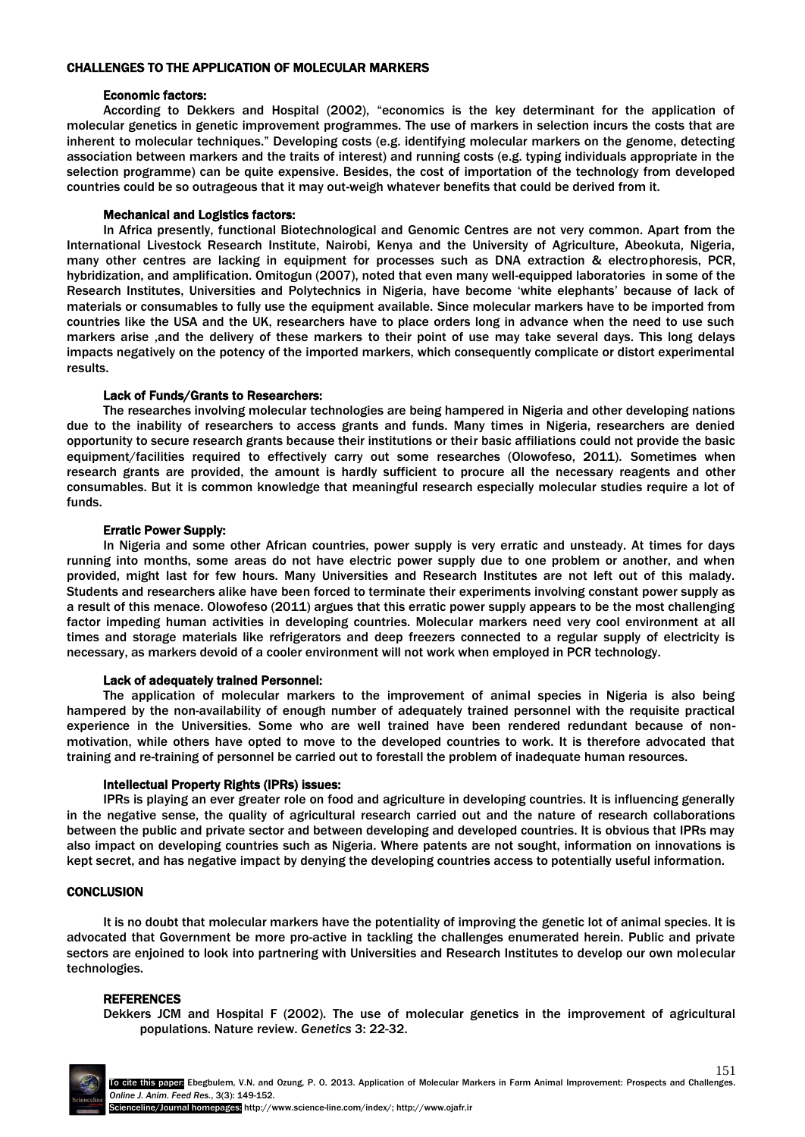# CHALLENGES TO THE APPLICATION OF MOLECULAR MARKERS

## Economic factors:

According to Dekkers and Hospital (2002), "economics is the key determinant for the application of molecular genetics in genetic improvement programmes. The use of markers in selection incurs the costs that are inherent to molecular techniques." Developing costs (e.g. identifying molecular markers on the genome, detecting association between markers and the traits of interest) and running costs (e.g. typing individuals appropriate in the selection programme) can be quite expensive. Besides, the cost of importation of the technology from developed countries could be so outrageous that it may out-weigh whatever benefits that could be derived from it.

## Mechanical and Logistics factors:

In Africa presently, functional Biotechnological and Genomic Centres are not very common. Apart from the International Livestock Research Institute, Nairobi, Kenya and the University of Agriculture, Abeokuta, Nigeria, many other centres are lacking in equipment for processes such as DNA extraction & electrophoresis, PCR, hybridization, and amplification. Omitogun (2007), noted that even many well-equipped laboratories in some of the Research Institutes, Universities and Polytechnics in Nigeria, have become "white elephants" because of lack of materials or consumables to fully use the equipment available. Since molecular markers have to be imported from countries like the USA and the UK, researchers have to place orders long in advance when the need to use such markers arise ,and the delivery of these markers to their point of use may take several days. This long delays impacts negatively on the potency of the imported markers, which consequently complicate or distort experimental results.

# Lack of Funds/Grants to Researchers:

The researches involving molecular technologies are being hampered in Nigeria and other developing nations due to the inability of researchers to access grants and funds. Many times in Nigeria, researchers are denied opportunity to secure research grants because their institutions or their basic affiliations could not provide the basic equipment/facilities required to effectively carry out some researches (Olowofeso, 2011). Sometimes when research grants are provided, the amount is hardly sufficient to procure all the necessary reagents and other consumables. But it is common knowledge that meaningful research especially molecular studies require a lot of funds.

## Erratic Power Supply:

In Nigeria and some other African countries, power supply is very erratic and unsteady. At times for days running into months, some areas do not have electric power supply due to one problem or another, and when provided, might last for few hours. Many Universities and Research Institutes are not left out of this malady. Students and researchers alike have been forced to terminate their experiments involving constant power supply as a result of this menace. Olowofeso (2011) argues that this erratic power supply appears to be the most challenging factor impeding human activities in developing countries. Molecular markers need very cool environment at all times and storage materials like refrigerators and deep freezers connected to a regular supply of electricity is necessary, as markers devoid of a cooler environment will not work when employed in PCR technology.

## Lack of adequately trained Personnel:

The application of molecular markers to the improvement of animal species in Nigeria is also being hampered by the non-availability of enough number of adequately trained personnel with the requisite practical experience in the Universities. Some who are well trained have been rendered redundant because of nonmotivation, while others have opted to move to the developed countries to work. It is therefore advocated that training and re-training of personnel be carried out to forestall the problem of inadequate human resources.

## Intellectual Property Rights (IPRs) issues:

IPRs is playing an ever greater role on food and agriculture in developing countries. It is influencing generally in the negative sense, the quality of agricultural research carried out and the nature of research collaborations between the public and private sector and between developing and developed countries. It is obvious that IPRs may also impact on developing countries such as Nigeria. Where patents are not sought, information on innovations is kept secret, and has negative impact by denying the developing countries access to potentially useful information.

## **CONCLUSION**

It is no doubt that molecular markers have the potentiality of improving the genetic lot of animal species. It is advocated that Government be more pro-active in tackling the challenges enumerated herein. Public and private sectors are enjoined to look into partnering with Universities and Research Institutes to develop our own molecular technologies.

## **REFERENCES**

Dekkers JCM and Hospital F (2002). The use of molecular genetics in the improvement of agricultural populations. Nature review. *Genetics* 3: 22-32.